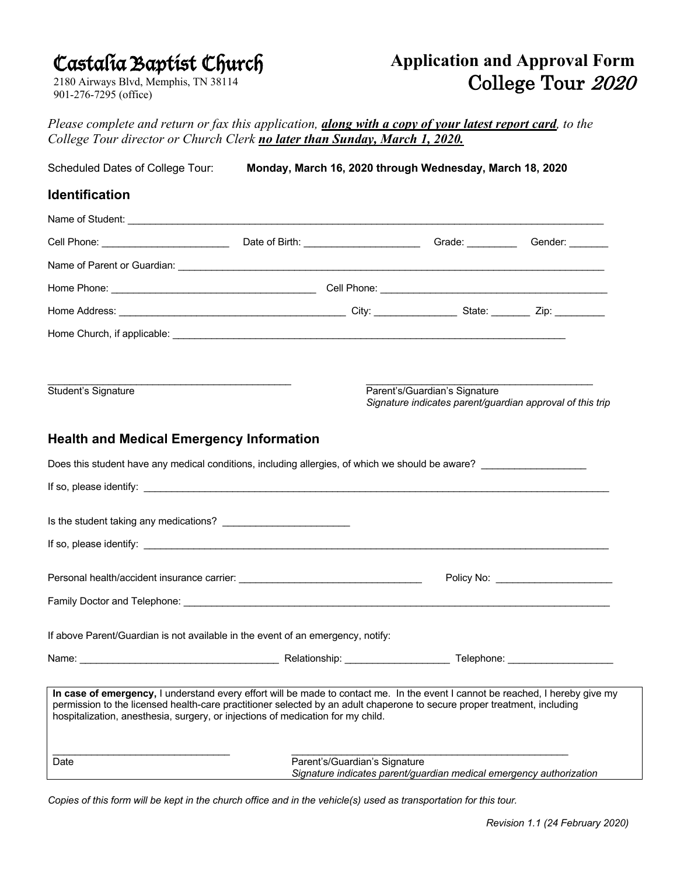# Castalia Baptist Church

2180 Airways Blvd, Memphis, TN 38114 901-276-7295 (office)

## **Application and Approval Form** College Tour 2020

*Please complete and return or fax this application, along with a copy of your latest report card, to the College Tour director or Church Clerk no later than Sunday, March 1, 2020.*

| Scheduled Dates of College Tour:                                                                                                                                                                                                                                                                                                                      |               |                               | Monday, March 16, 2020 through Wednesday, March 18, 2020                                   |                                        |
|-------------------------------------------------------------------------------------------------------------------------------------------------------------------------------------------------------------------------------------------------------------------------------------------------------------------------------------------------------|---------------|-------------------------------|--------------------------------------------------------------------------------------------|----------------------------------------|
| <b>Identification</b>                                                                                                                                                                                                                                                                                                                                 |               |                               |                                                                                            |                                        |
|                                                                                                                                                                                                                                                                                                                                                       |               |                               |                                                                                            |                                        |
|                                                                                                                                                                                                                                                                                                                                                       |               |                               |                                                                                            | Grade: ______________ Gender: ________ |
|                                                                                                                                                                                                                                                                                                                                                       |               |                               |                                                                                            |                                        |
|                                                                                                                                                                                                                                                                                                                                                       |               |                               |                                                                                            |                                        |
|                                                                                                                                                                                                                                                                                                                                                       |               |                               |                                                                                            |                                        |
|                                                                                                                                                                                                                                                                                                                                                       |               |                               |                                                                                            |                                        |
|                                                                                                                                                                                                                                                                                                                                                       |               |                               |                                                                                            |                                        |
| Student's Signature                                                                                                                                                                                                                                                                                                                                   |               |                               | Parent's/Guardian's Signature<br>Signature indicates parent/guardian approval of this trip |                                        |
| <b>Health and Medical Emergency Information</b>                                                                                                                                                                                                                                                                                                       |               |                               |                                                                                            |                                        |
| Does this student have any medical conditions, including allergies, of which we should be aware?                                                                                                                                                                                                                                                      |               |                               |                                                                                            |                                        |
|                                                                                                                                                                                                                                                                                                                                                       |               |                               |                                                                                            |                                        |
|                                                                                                                                                                                                                                                                                                                                                       |               |                               |                                                                                            |                                        |
|                                                                                                                                                                                                                                                                                                                                                       |               |                               |                                                                                            |                                        |
|                                                                                                                                                                                                                                                                                                                                                       |               |                               |                                                                                            |                                        |
|                                                                                                                                                                                                                                                                                                                                                       |               |                               |                                                                                            | Policy No: _________________________   |
|                                                                                                                                                                                                                                                                                                                                                       |               |                               |                                                                                            |                                        |
| If above Parent/Guardian is not available in the event of an emergency, notify:                                                                                                                                                                                                                                                                       |               |                               |                                                                                            |                                        |
| Name:                                                                                                                                                                                                                                                                                                                                                 | Relationship: |                               | Telephone:                                                                                 |                                        |
| In case of emergency, I understand every effort will be made to contact me. In the event I cannot be reached, I hereby give my<br>permission to the licensed health-care practitioner selected by an adult chaperone to secure proper treatment, including<br>hospitalization, anesthesia, surgery, or injections of medication for my child.<br>Date |               | Parent's/Guardian's Signature |                                                                                            |                                        |
|                                                                                                                                                                                                                                                                                                                                                       |               |                               | Signature indicates parent/guardian medical emergency authorization                        |                                        |

*Copies of this form will be kept in the church office and in the vehicle(s) used as transportation for this tour.*